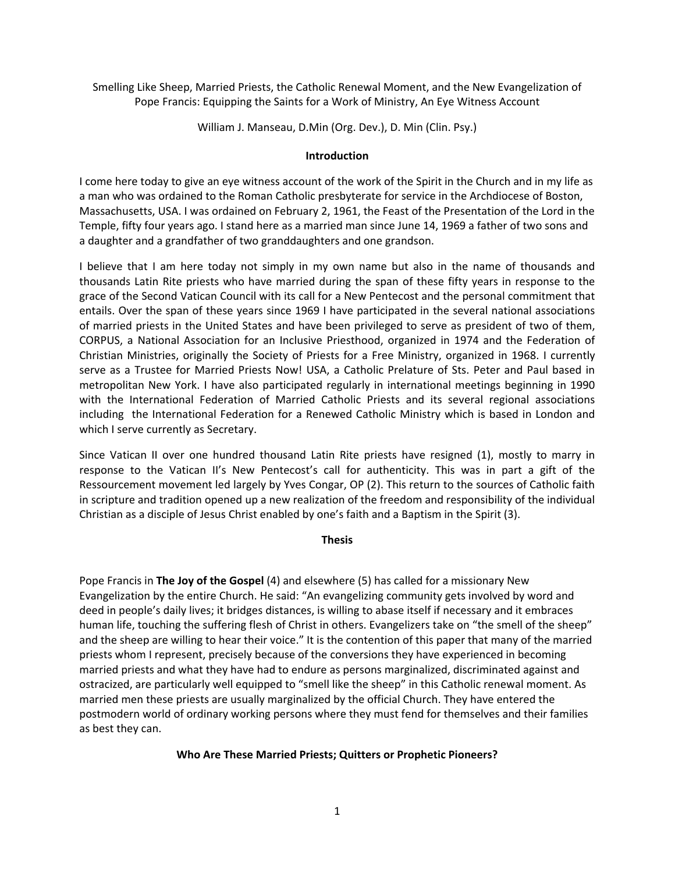Smelling Like Sheep, Married Priests, the Catholic Renewal Moment, and the New Evangelization of Pope Francis: Equipping the Saints for a Work of Ministry, An Eye Witness Account

William J. Manseau, D.Min (Org. Dev.), D. Min (Clin. Psy.)

## **Introduction**

I come here today to give an eye witness account of the work of the Spirit in the Church and in my life as a man who was ordained to the Roman Catholic presbyterate for service in the Archdiocese of Boston, Massachusetts, USA. I was ordained on February 2, 1961, the Feast of the Presentation of the Lord in the Temple, fifty four years ago. I stand here as a married man since June 14, 1969 a father of two sons and a daughter and a grandfather of two granddaughters and one grandson.

I believe that I am here today not simply in my own name but also in the name of thousands and thousands Latin Rite priests who have married during the span of these fifty years in response to the grace of the Second Vatican Council with its call for a New Pentecost and the personal commitment that entails. Over the span of these years since 1969 I have participated in the several national associations of married priests in the United States and have been privileged to serve as president of two of them, CORPUS, a National Association for an Inclusive Priesthood, organized in 1974 and the Federation of Christian Ministries, originally the Society of Priests for a Free Ministry, organized in 1968. I currently serve as a Trustee for Married Priests Now! USA, a Catholic Prelature of Sts. Peter and Paul based in metropolitan New York. I have also participated regularly in international meetings beginning in 1990 with the International Federation of Married Catholic Priests and its several regional associations including the International Federation for a Renewed Catholic Ministry which is based in London and which I serve currently as Secretary.

Since Vatican II over one hundred thousand Latin Rite priests have resigned (1), mostly to marry in response to the Vatican II's New Pentecost's call for authenticity. This was in part a gift of the Ressourcement movement led largely by Yves Congar, OP (2). This return to the sources of Catholic faith in scripture and tradition opened up a new realization of the freedom and responsibility of the individual Christian as a disciple of Jesus Christ enabled by one's faith and a Baptism in the Spirit (3).

### **Thesis**

Pope Francis in **The Joy of the Gospel** (4) and elsewhere (5) has called for a missionary New Evangelization by the entire Church. He said: "An evangelizing community gets involved by word and deed in people's daily lives; it bridges distances, is willing to abase itself if necessary and it embraces human life, touching the suffering flesh of Christ in others. Evangelizers take on "the smell of the sheep" and the sheep are willing to hear their voice." It is the contention of this paper that many of the married priests whom I represent, precisely because of the conversions they have experienced in becoming married priests and what they have had to endure as persons marginalized, discriminated against and ostracized, are particularly well equipped to "smell like the sheep" in this Catholic renewal moment. As married men these priests are usually marginalized by the official Church. They have entered the postmodern world of ordinary working persons where they must fend for themselves and their families as best they can.

## **Who Are These Married Priests; Quitters or Prophetic Pioneers?**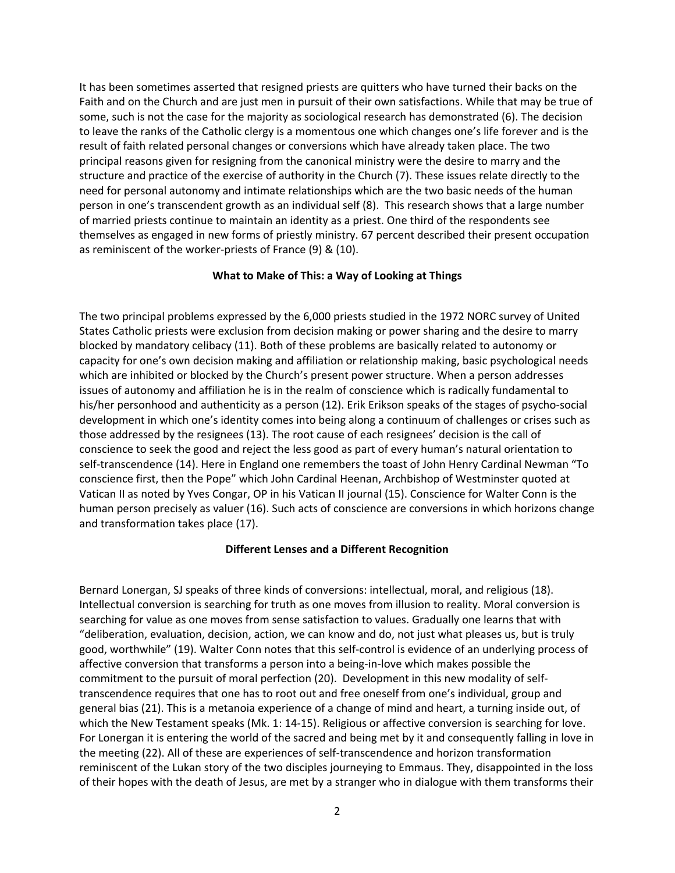It has been sometimes asserted that resigned priests are quitters who have turned their backs on the Faith and on the Church and are just men in pursuit of their own satisfactions. While that may be true of some, such is not the case for the majority as sociological research has demonstrated (6). The decision to leave the ranks of the Catholic clergy is a momentous one which changes one's life forever and is the result of faith related personal changes or conversions which have already taken place. The two principal reasons given for resigning from the canonical ministry were the desire to marry and the structure and practice of the exercise of authority in the Church (7). These issues relate directly to the need for personal autonomy and intimate relationships which are the two basic needs of the human person in one's transcendent growth as an individual self (8). This research shows that a large number of married priests continue to maintain an identity as a priest. One third of the respondents see themselves as engaged in new forms of priestly ministry. 67 percent described their present occupation as reminiscent of the worker‐priests of France (9) & (10).

### **What to Make of This: a Way of Looking at Things**

The two principal problems expressed by the 6,000 priests studied in the 1972 NORC survey of United States Catholic priests were exclusion from decision making or power sharing and the desire to marry blocked by mandatory celibacy (11). Both of these problems are basically related to autonomy or capacity for one's own decision making and affiliation or relationship making, basic psychological needs which are inhibited or blocked by the Church's present power structure. When a person addresses issues of autonomy and affiliation he is in the realm of conscience which is radically fundamental to his/her personhood and authenticity as a person (12). Erik Erikson speaks of the stages of psycho-social development in which one's identity comes into being along a continuum of challenges or crises such as those addressed by the resignees (13). The root cause of each resignees' decision is the call of conscience to seek the good and reject the less good as part of every human's natural orientation to self-transcendence (14). Here in England one remembers the toast of John Henry Cardinal Newman "To conscience first, then the Pope" which John Cardinal Heenan, Archbishop of Westminster quoted at Vatican II as noted by Yves Congar, OP in his Vatican II journal (15). Conscience for Walter Conn is the human person precisely as valuer (16). Such acts of conscience are conversions in which horizons change and transformation takes place (17).

#### **Different Lenses and a Different Recognition**

Bernard Lonergan, SJ speaks of three kinds of conversions: intellectual, moral, and religious (18). Intellectual conversion is searching for truth as one moves from illusion to reality. Moral conversion is searching for value as one moves from sense satisfaction to values. Gradually one learns that with "deliberation, evaluation, decision, action, we can know and do, not just what pleases us, but is truly good, worthwhile" (19). Walter Conn notes that this self‐control is evidence of an underlying process of affective conversion that transforms a person into a being‐in‐love which makes possible the commitment to the pursuit of moral perfection (20). Development in this new modality of self‐ transcendence requires that one has to root out and free oneself from one's individual, group and general bias (21). This is a metanoia experience of a change of mind and heart, a turning inside out, of which the New Testament speaks (Mk. 1: 14-15). Religious or affective conversion is searching for love. For Lonergan it is entering the world of the sacred and being met by it and consequently falling in love in the meeting (22). All of these are experiences of self‐transcendence and horizon transformation reminiscent of the Lukan story of the two disciples journeying to Emmaus. They, disappointed in the loss of their hopes with the death of Jesus, are met by a stranger who in dialogue with them transforms their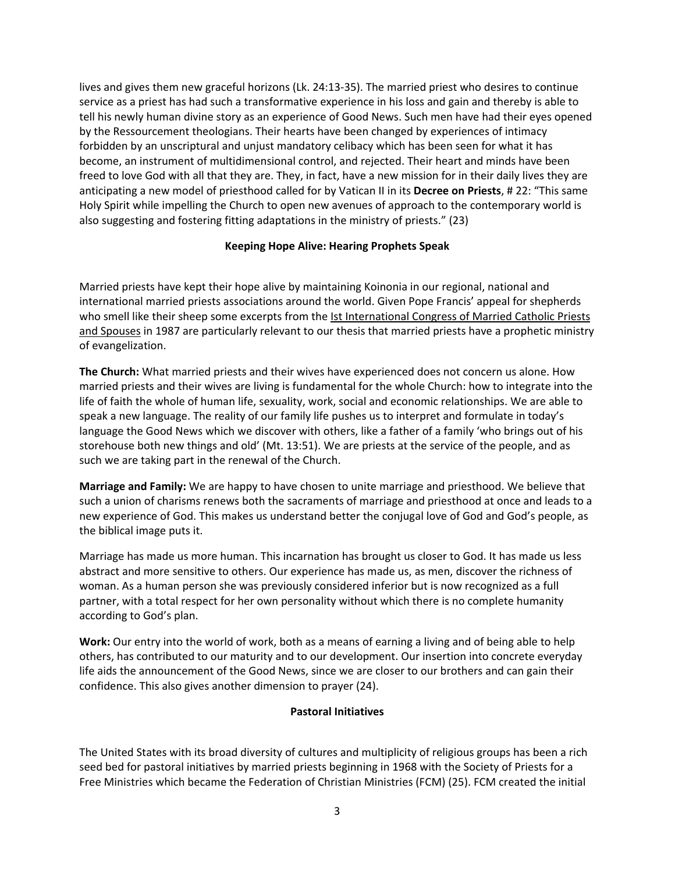lives and gives them new graceful horizons (Lk. 24:13‐35). The married priest who desires to continue service as a priest has had such a transformative experience in his loss and gain and thereby is able to tell his newly human divine story as an experience of Good News. Such men have had their eyes opened by the Ressourcement theologians. Their hearts have been changed by experiences of intimacy forbidden by an unscriptural and unjust mandatory celibacy which has been seen for what it has become, an instrument of multidimensional control, and rejected. Their heart and minds have been freed to love God with all that they are. They, in fact, have a new mission for in their daily lives they are anticipating a new model of priesthood called for by Vatican II in its **Decree on Priests**, # 22: "This same Holy Spirit while impelling the Church to open new avenues of approach to the contemporary world is also suggesting and fostering fitting adaptations in the ministry of priests." (23)

## **Keeping Hope Alive: Hearing Prophets Speak**

Married priests have kept their hope alive by maintaining Koinonia in our regional, national and international married priests associations around the world. Given Pope Francis' appeal for shepherds who smell like their sheep some excerpts from the Ist International Congress of Married Catholic Priests and Spouses in 1987 are particularly relevant to our thesis that married priests have a prophetic ministry of evangelization.

**The Church:** What married priests and their wives have experienced does not concern us alone. How married priests and their wives are living is fundamental for the whole Church: how to integrate into the life of faith the whole of human life, sexuality, work, social and economic relationships. We are able to speak a new language. The reality of our family life pushes us to interpret and formulate in today's language the Good News which we discover with others, like a father of a family 'who brings out of his storehouse both new things and old' (Mt. 13:51). We are priests at the service of the people, and as such we are taking part in the renewal of the Church.

**Marriage and Family:** We are happy to have chosen to unite marriage and priesthood. We believe that such a union of charisms renews both the sacraments of marriage and priesthood at once and leads to a new experience of God. This makes us understand better the conjugal love of God and God's people, as the biblical image puts it.

Marriage has made us more human. This incarnation has brought us closer to God. It has made us less abstract and more sensitive to others. Our experience has made us, as men, discover the richness of woman. As a human person she was previously considered inferior but is now recognized as a full partner, with a total respect for her own personality without which there is no complete humanity according to God's plan.

**Work:** Our entry into the world of work, both as a means of earning a living and of being able to help others, has contributed to our maturity and to our development. Our insertion into concrete everyday life aids the announcement of the Good News, since we are closer to our brothers and can gain their confidence. This also gives another dimension to prayer (24).

## **Pastoral Initiatives**

The United States with its broad diversity of cultures and multiplicity of religious groups has been a rich seed bed for pastoral initiatives by married priests beginning in 1968 with the Society of Priests for a Free Ministries which became the Federation of Christian Ministries (FCM) (25). FCM created the initial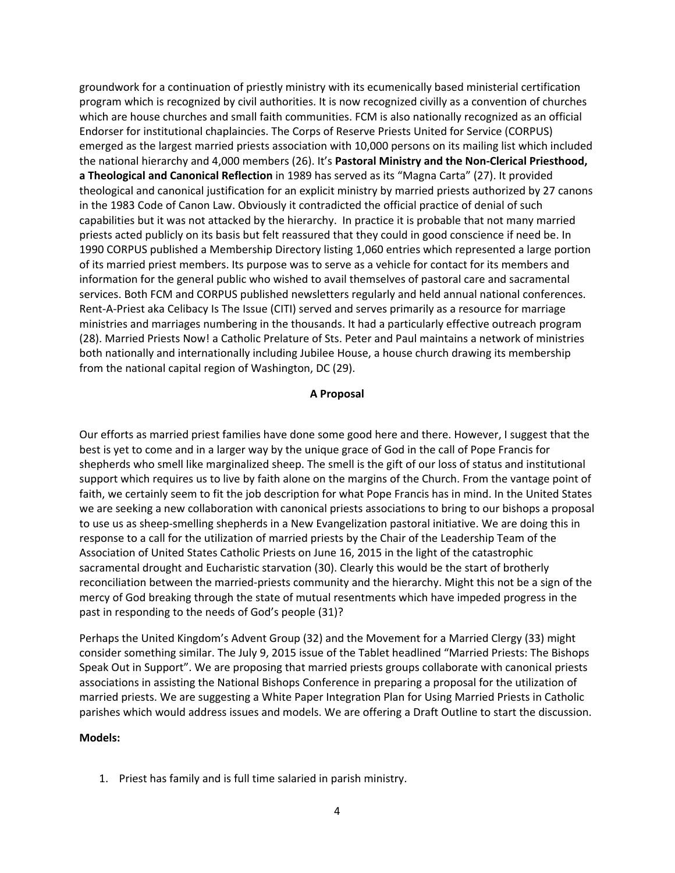groundwork for a continuation of priestly ministry with its ecumenically based ministerial certification program which is recognized by civil authorities. It is now recognized civilly as a convention of churches which are house churches and small faith communities. FCM is also nationally recognized as an official Endorser for institutional chaplaincies. The Corps of Reserve Priests United for Service (CORPUS) emerged as the largest married priests association with 10,000 persons on its mailing list which included the national hierarchy and 4,000 members (26). It's **Pastoral Ministry and the Non‐Clerical Priesthood, a Theological and Canonical Reflection** in 1989 has served as its "Magna Carta" (27). It provided theological and canonical justification for an explicit ministry by married priests authorized by 27 canons in the 1983 Code of Canon Law. Obviously it contradicted the official practice of denial of such capabilities but it was not attacked by the hierarchy. In practice it is probable that not many married priests acted publicly on its basis but felt reassured that they could in good conscience if need be. In 1990 CORPUS published a Membership Directory listing 1,060 entries which represented a large portion of its married priest members. Its purpose was to serve as a vehicle for contact for its members and information for the general public who wished to avail themselves of pastoral care and sacramental services. Both FCM and CORPUS published newsletters regularly and held annual national conferences. Rent-A-Priest aka Celibacy Is The Issue (CITI) served and serves primarily as a resource for marriage ministries and marriages numbering in the thousands. It had a particularly effective outreach program (28). Married Priests Now! a Catholic Prelature of Sts. Peter and Paul maintains a network of ministries both nationally and internationally including Jubilee House, a house church drawing its membership from the national capital region of Washington, DC (29).

### **A Proposal**

Our efforts as married priest families have done some good here and there. However, I suggest that the best is yet to come and in a larger way by the unique grace of God in the call of Pope Francis for shepherds who smell like marginalized sheep. The smell is the gift of our loss of status and institutional support which requires us to live by faith alone on the margins of the Church. From the vantage point of faith, we certainly seem to fit the job description for what Pope Francis has in mind. In the United States we are seeking a new collaboration with canonical priests associations to bring to our bishops a proposal to use us as sheep‐smelling shepherds in a New Evangelization pastoral initiative. We are doing this in response to a call for the utilization of married priests by the Chair of the Leadership Team of the Association of United States Catholic Priests on June 16, 2015 in the light of the catastrophic sacramental drought and Eucharistic starvation (30). Clearly this would be the start of brotherly reconciliation between the married‐priests community and the hierarchy. Might this not be a sign of the mercy of God breaking through the state of mutual resentments which have impeded progress in the past in responding to the needs of God's people (31)?

Perhaps the United Kingdom's Advent Group (32) and the Movement for a Married Clergy (33) might consider something similar. The July 9, 2015 issue of the Tablet headlined "Married Priests: The Bishops Speak Out in Support". We are proposing that married priests groups collaborate with canonical priests associations in assisting the National Bishops Conference in preparing a proposal for the utilization of married priests. We are suggesting a White Paper Integration Plan for Using Married Priests in Catholic parishes which would address issues and models. We are offering a Draft Outline to start the discussion.

#### **Models:**

1. Priest has family and is full time salaried in parish ministry.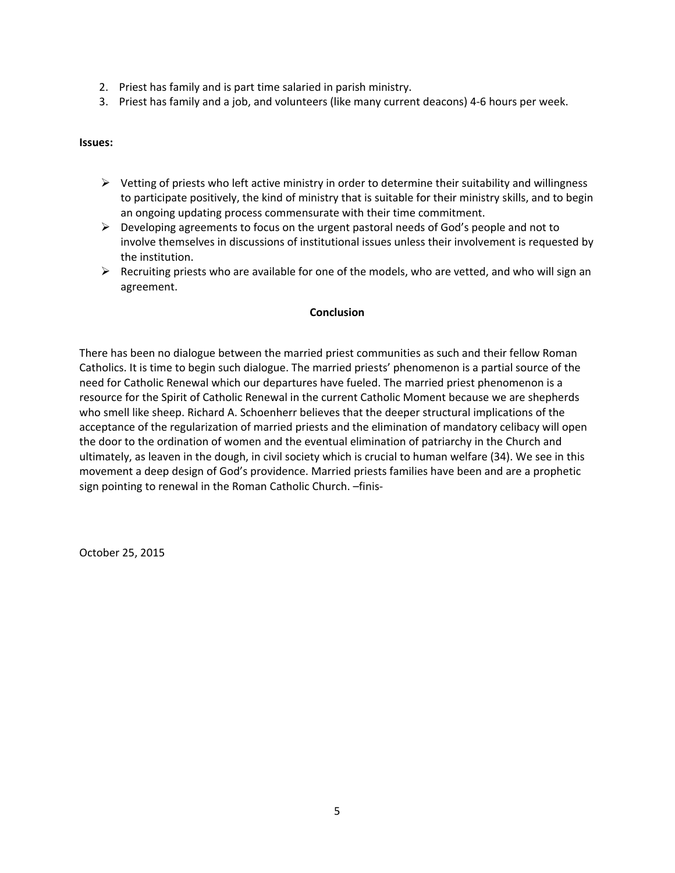- 2. Priest has family and is part time salaried in parish ministry.
- 3. Priest has family and a job, and volunteers (like many current deacons) 4‐6 hours per week.

## **Issues:**

- $\triangleright$  Vetting of priests who left active ministry in order to determine their suitability and willingness to participate positively, the kind of ministry that is suitable for their ministry skills, and to begin an ongoing updating process commensurate with their time commitment.
- $\triangleright$  Developing agreements to focus on the urgent pastoral needs of God's people and not to involve themselves in discussions of institutional issues unless their involvement is requested by the institution.
- $\triangleright$  Recruiting priests who are available for one of the models, who are vetted, and who will sign an agreement.

## **Conclusion**

There has been no dialogue between the married priest communities as such and their fellow Roman Catholics. It is time to begin such dialogue. The married priests' phenomenon is a partial source of the need for Catholic Renewal which our departures have fueled. The married priest phenomenon is a resource for the Spirit of Catholic Renewal in the current Catholic Moment because we are shepherds who smell like sheep. Richard A. Schoenherr believes that the deeper structural implications of the acceptance of the regularization of married priests and the elimination of mandatory celibacy will open the door to the ordination of women and the eventual elimination of patriarchy in the Church and ultimately, as leaven in the dough, in civil society which is crucial to human welfare (34). We see in this movement a deep design of God's providence. Married priests families have been and are a prophetic sign pointing to renewal in the Roman Catholic Church. –finis‐

October 25, 2015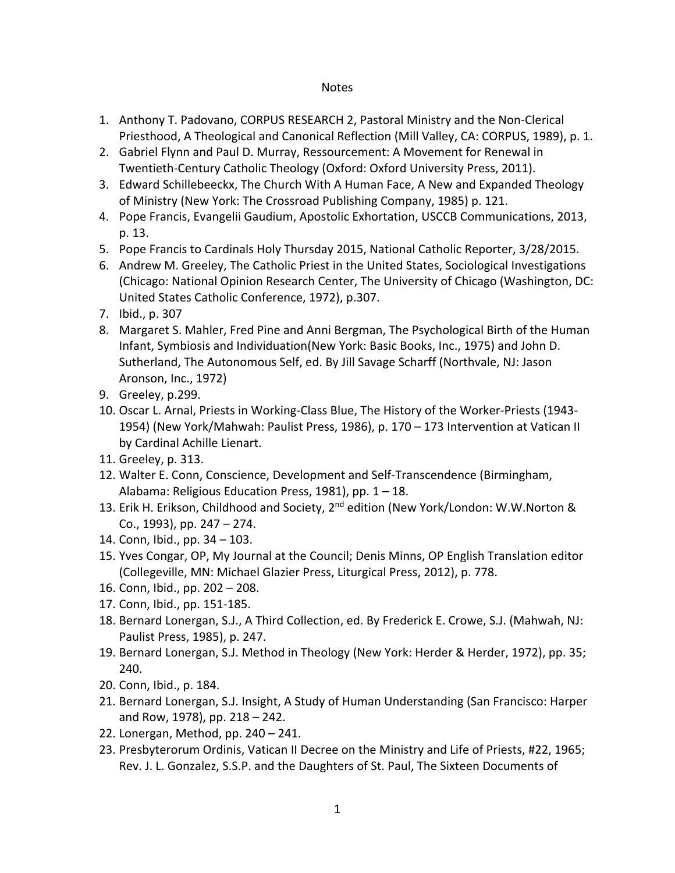# **Notes**

- 1. Anthony T. Padovano, CORPUS RESEARCH 2, Pastoral Ministry and the Non‐Clerical Priesthood, A Theological and Canonical Reflection (Mill Valley, CA: CORPUS, 1989), p. 1.
- 2. Gabriel Flynn and Paul D. Murray, Ressourcement: A Movement for Renewal in Twentieth‐Century Catholic Theology (Oxford: Oxford University Press, 2011).
- 3. Edward Schillebeeckx, The Church With A Human Face, A New and Expanded Theology of Ministry (New York: The Crossroad Publishing Company, 1985) p. 121.
- 4. Pope Francis, Evangelii Gaudium, Apostolic Exhortation, USCCB Communications, 2013, p. 13.
- 5. Pope Francis to Cardinals Holy Thursday 2015, National Catholic Reporter, 3/28/2015.
- 6. Andrew M. Greeley, The Catholic Priest in the United States, Sociological Investigations (Chicago: National Opinion Research Center, The University of Chicago (Washington, DC: United States Catholic Conference, 1972), p.307.
- 7. Ibid., p. 307
- 8. Margaret S. Mahler, Fred Pine and Anni Bergman, The Psychological Birth of the Human Infant, Symbiosis and Individuation(New York: Basic Books, Inc., 1975) and John D. Sutherland, The Autonomous Self, ed. By Jill Savage Scharff (Northvale, NJ: Jason Aronson, Inc., 1972)
- 9. Greeley, p.299.
- 10. Oscar L. Arnal, Priests in Working-Class Blue, The History of the Worker-Priests (1943-1954) (New York/Mahwah: Paulist Press, 1986), p. 170 – 173 Intervention at Vatican II by Cardinal Achille Lienart.
- 11. Greeley, p. 313.
- 12. Walter E. Conn, Conscience, Development and Self‐Transcendence (Birmingham, Alabama: Religious Education Press, 1981), pp. 1 – 18.
- 13. Erik H. Erikson, Childhood and Society, 2<sup>nd</sup> edition (New York/London: W.W.Norton & Co., 1993), pp. 247 – 274.
- 14. Conn, Ibid., pp. 34 103.
- 15. Yves Congar, OP, My Journal at the Council; Denis Minns, OP English Translation editor (Collegeville, MN: Michael Glazier Press, Liturgical Press, 2012), p. 778.
- 16. Conn, Ibid., pp. 202 208.
- 17. Conn, Ibid., pp. 151‐185.
- 18. Bernard Lonergan, S.J., A Third Collection, ed. By Frederick E. Crowe, S.J. (Mahwah, NJ: Paulist Press, 1985), p. 247.
- 19. Bernard Lonergan, S.J. Method in Theology (New York: Herder & Herder, 1972), pp. 35; 240.
- 20. Conn, Ibid., p. 184.
- 21. Bernard Lonergan, S.J. Insight, A Study of Human Understanding (San Francisco: Harper and Row, 1978), pp. 218 – 242.
- 22. Lonergan, Method, pp. 240 241.
- 23. Presbyterorum Ordinis, Vatican II Decree on the Ministry and Life of Priests, #22, 1965; Rev. J. L. Gonzalez, S.S.P. and the Daughters of St. Paul, The Sixteen Documents of